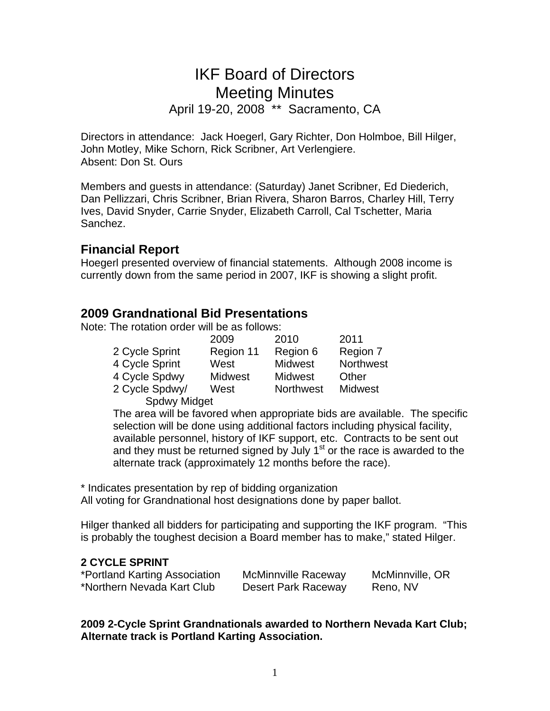# IKF Board of Directors Meeting Minutes

April 19-20, 2008 \*\* Sacramento, CA

Directors in attendance: Jack Hoegerl, Gary Richter, Don Holmboe, Bill Hilger, John Motley, Mike Schorn, Rick Scribner, Art Verlengiere. Absent: Don St. Ours

Members and guests in attendance: (Saturday) Janet Scribner, Ed Diederich, Dan Pellizzari, Chris Scribner, Brian Rivera, Sharon Barros, Charley Hill, Terry Ives, David Snyder, Carrie Snyder, Elizabeth Carroll, Cal Tschetter, Maria Sanchez.

## **Financial Report**

Hoegerl presented overview of financial statements. Although 2008 income is currently down from the same period in 2007, IKF is showing a slight profit.

# **2009 Grandnational Bid Presentations**

Note: The rotation order will be as follows:

|                     | 2009           | 2010             | 2011             |
|---------------------|----------------|------------------|------------------|
| 2 Cycle Sprint      | Region 11      | Region 6         | Region 7         |
| 4 Cycle Sprint      | West           | <b>Midwest</b>   | <b>Northwest</b> |
| 4 Cycle Spdwy       | <b>Midwest</b> | <b>Midwest</b>   | Other            |
| 2 Cycle Spdwy/      | West           | <b>Northwest</b> | <b>Midwest</b>   |
| <b>Spdwy Midget</b> |                |                  |                  |

The area will be favored when appropriate bids are available. The specific selection will be done using additional factors including physical facility, available personnel, history of IKF support, etc. Contracts to be sent out and they must be returned signed by July  $1<sup>st</sup>$  or the race is awarded to the alternate track (approximately 12 months before the race).

\* Indicates presentation by rep of bidding organization All voting for Grandnational host designations done by paper ballot.

Hilger thanked all bidders for participating and supporting the IKF program. "This is probably the toughest decision a Board member has to make," stated Hilger.

## **2 CYCLE SPRINT**

| *Portland Karting Association | <b>McMinnville Raceway</b> | McMinnville, OR |
|-------------------------------|----------------------------|-----------------|
| *Northern Nevada Kart Club    | Desert Park Raceway        | Reno, NV        |

**2009 2-Cycle Sprint Grandnationals awarded to Northern Nevada Kart Club; Alternate track is Portland Karting Association.**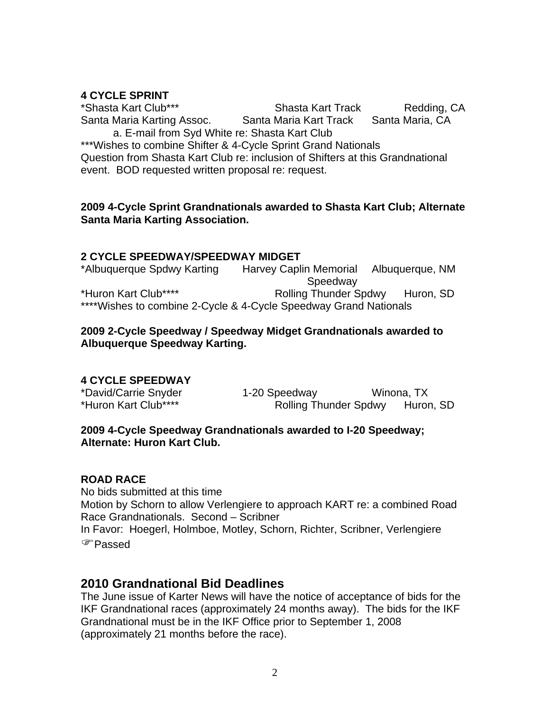## **4 CYCLE SPRINT**

\*Shasta Kart Club\*\*\* Shasta Kart Track Redding, CA Santa Maria Karting Assoc. Santa Maria Kart Track Santa Maria, CA a. E-mail from Syd White re: Shasta Kart Club

\*\*\*Wishes to combine Shifter & 4-Cycle Sprint Grand Nationals Question from Shasta Kart Club re: inclusion of Shifters at this Grandnational event. BOD requested written proposal re: request.

#### **2009 4-Cycle Sprint Grandnationals awarded to Shasta Kart Club; Alternate Santa Maria Karting Association.**

#### **2 CYCLE SPEEDWAY/SPEEDWAY MIDGET**

\*Albuquerque Spdwy Karting Harvey Caplin Memorial Albuquerque, NM Speedway \*Huron Kart Club\*\*\*\* Rolling Thunder Spdwy Huron, SD \*\*\*\*Wishes to combine 2-Cycle & 4-Cycle Speedway Grand Nationals

#### **2009 2-Cycle Speedway / Speedway Midget Grandnationals awarded to Albuquerque Speedway Karting.**

## **4 CYCLE SPEEDWAY**

\*David/Carrie Snyder 1-20 Speedway Winona, TX \*Huron Kart Club\*\*\*\* Rolling Thunder Spdwy Huron, SD

#### **2009 4-Cycle Speedway Grandnationals awarded to I-20 Speedway; Alternate: Huron Kart Club.**

## **ROAD RACE**

No bids submitted at this time Motion by Schorn to allow Verlengiere to approach KART re: a combined Road Race Grandnationals. Second – Scribner In Favor: Hoegerl, Holmboe, Motley, Schorn, Richter, Scribner, Verlengiere )Passed

## **2010 Grandnational Bid Deadlines**

The June issue of Karter News will have the notice of acceptance of bids for the IKF Grandnational races (approximately 24 months away). The bids for the IKF Grandnational must be in the IKF Office prior to September 1, 2008 (approximately 21 months before the race).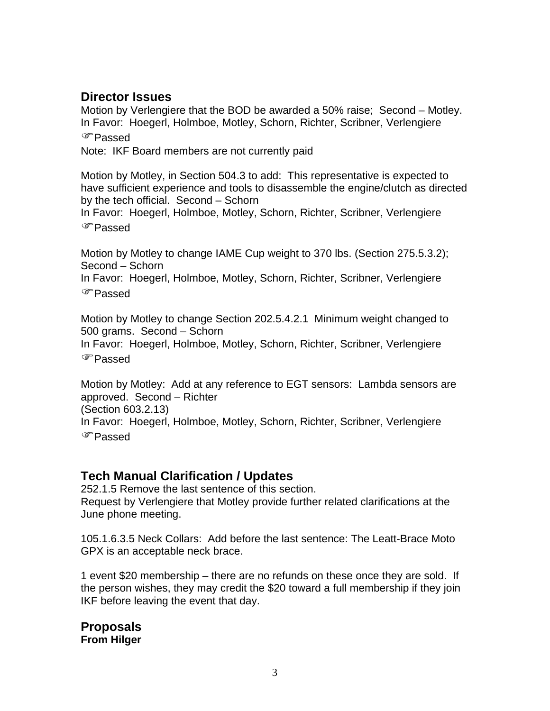# **Director Issues**

Motion by Verlengiere that the BOD be awarded a 50% raise; Second – Motley. In Favor: Hoegerl, Holmboe, Motley, Schorn, Richter, Scribner, Verlengiere )Passed

Note: IKF Board members are not currently paid

Motion by Motley, in Section 504.3 to add: This representative is expected to have sufficient experience and tools to disassemble the engine/clutch as directed by the tech official. Second – Schorn

In Favor: Hoegerl, Holmboe, Motley, Schorn, Richter, Scribner, Verlengiere )Passed

Motion by Motley to change IAME Cup weight to 370 lbs. (Section 275.5.3.2); Second – Schorn

In Favor: Hoegerl, Holmboe, Motley, Schorn, Richter, Scribner, Verlengiere )Passed

Motion by Motley to change Section 202.5.4.2.1 Minimum weight changed to 500 grams. Second – Schorn

In Favor: Hoegerl, Holmboe, Motley, Schorn, Richter, Scribner, Verlengiere )Passed

Motion by Motley: Add at any reference to EGT sensors: Lambda sensors are approved. Second – Richter (Section 603.2.13) In Favor: Hoegerl, Holmboe, Motley, Schorn, Richter, Scribner, Verlengiere )Passed

## **Tech Manual Clarification / Updates**

252.1.5 Remove the last sentence of this section. Request by Verlengiere that Motley provide further related clarifications at the June phone meeting.

105.1.6.3.5 Neck Collars: Add before the last sentence: The Leatt-Brace Moto GPX is an acceptable neck brace.

1 event \$20 membership – there are no refunds on these once they are sold. If the person wishes, they may credit the \$20 toward a full membership if they join IKF before leaving the event that day.

**Proposals From Hilger**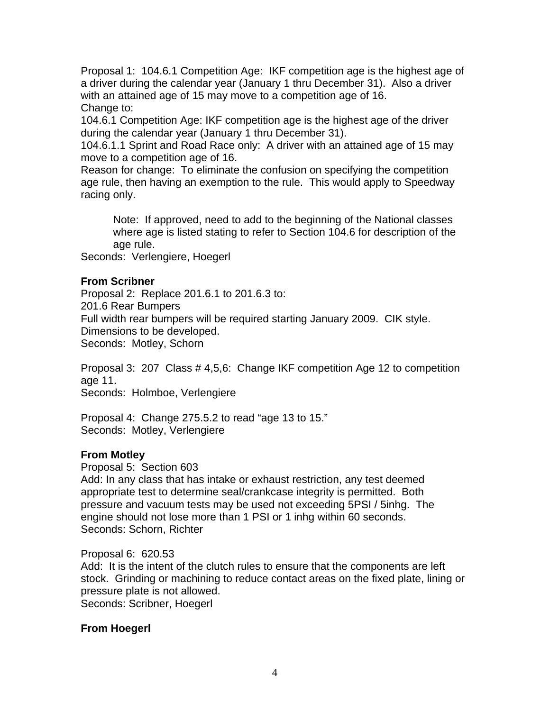Proposal 1: 104.6.1 Competition Age: IKF competition age is the highest age of a driver during the calendar year (January 1 thru December 31). Also a driver with an attained age of 15 may move to a competition age of 16. Change to:

104.6.1 Competition Age: IKF competition age is the highest age of the driver during the calendar year (January 1 thru December 31).

104.6.1.1 Sprint and Road Race only: A driver with an attained age of 15 may move to a competition age of 16.

Reason for change: To eliminate the confusion on specifying the competition age rule, then having an exemption to the rule. This would apply to Speedway racing only.

Note: If approved, need to add to the beginning of the National classes where age is listed stating to refer to Section 104.6 for description of the age rule.

Seconds: Verlengiere, Hoegerl

#### **From Scribner**

Proposal 2: Replace 201.6.1 to 201.6.3 to: 201.6 Rear Bumpers Full width rear bumpers will be required starting January 2009. CIK style. Dimensions to be developed. Seconds: Motley, Schorn

Proposal 3: 207 Class # 4,5,6: Change IKF competition Age 12 to competition age 11. Seconds: Holmboe, Verlengiere

Proposal 4: Change 275.5.2 to read "age 13 to 15." Seconds: Motley, Verlengiere

#### **From Motley**

Proposal 5: Section 603

Add: In any class that has intake or exhaust restriction, any test deemed appropriate test to determine seal/crankcase integrity is permitted. Both pressure and vacuum tests may be used not exceeding 5PSI / 5inhg. The engine should not lose more than 1 PSI or 1 inhg within 60 seconds. Seconds: Schorn, Richter

Proposal 6: 620.53 Add: It is the intent of the clutch rules to ensure that the components are left stock. Grinding or machining to reduce contact areas on the fixed plate, lining or pressure plate is not allowed. Seconds: Scribner, Hoegerl

## **From Hoegerl**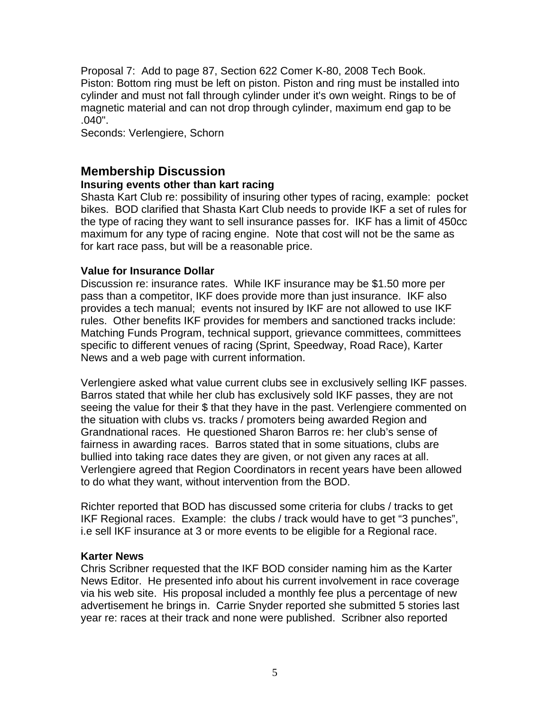Proposal 7: Add to page 87, Section 622 Comer K-80, 2008 Tech Book. Piston: Bottom ring must be left on piston. Piston and ring must be installed into cylinder and must not fall through cylinder under it's own weight. Rings to be of magnetic material and can not drop through cylinder, maximum end gap to be .040".

Seconds: Verlengiere, Schorn

# **Membership Discussion**

#### **Insuring events other than kart racing**

Shasta Kart Club re: possibility of insuring other types of racing, example: pocket bikes. BOD clarified that Shasta Kart Club needs to provide IKF a set of rules for the type of racing they want to sell insurance passes for. IKF has a limit of 450cc maximum for any type of racing engine. Note that cost will not be the same as for kart race pass, but will be a reasonable price.

#### **Value for Insurance Dollar**

Discussion re: insurance rates. While IKF insurance may be \$1.50 more per pass than a competitor, IKF does provide more than just insurance. IKF also provides a tech manual; events not insured by IKF are not allowed to use IKF rules. Other benefits IKF provides for members and sanctioned tracks include: Matching Funds Program, technical support, grievance committees, committees specific to different venues of racing (Sprint, Speedway, Road Race), Karter News and a web page with current information.

Verlengiere asked what value current clubs see in exclusively selling IKF passes. Barros stated that while her club has exclusively sold IKF passes, they are not seeing the value for their \$ that they have in the past. Verlengiere commented on the situation with clubs vs. tracks / promoters being awarded Region and Grandnational races. He questioned Sharon Barros re: her club's sense of fairness in awarding races. Barros stated that in some situations, clubs are bullied into taking race dates they are given, or not given any races at all. Verlengiere agreed that Region Coordinators in recent years have been allowed to do what they want, without intervention from the BOD.

Richter reported that BOD has discussed some criteria for clubs / tracks to get IKF Regional races. Example: the clubs / track would have to get "3 punches", i.e sell IKF insurance at 3 or more events to be eligible for a Regional race.

#### **Karter News**

Chris Scribner requested that the IKF BOD consider naming him as the Karter News Editor. He presented info about his current involvement in race coverage via his web site. His proposal included a monthly fee plus a percentage of new advertisement he brings in. Carrie Snyder reported she submitted 5 stories last year re: races at their track and none were published. Scribner also reported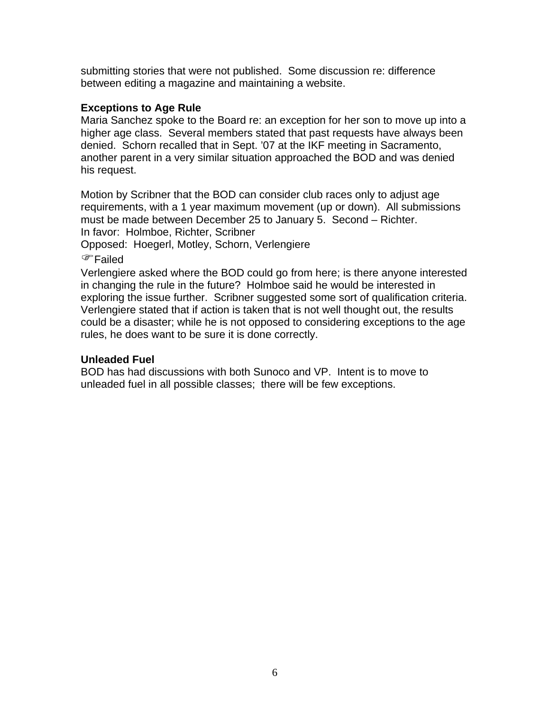submitting stories that were not published. Some discussion re: difference between editing a magazine and maintaining a website.

#### **Exceptions to Age Rule**

Maria Sanchez spoke to the Board re: an exception for her son to move up into a higher age class. Several members stated that past requests have always been denied. Schorn recalled that in Sept. '07 at the IKF meeting in Sacramento, another parent in a very similar situation approached the BOD and was denied his request.

Motion by Scribner that the BOD can consider club races only to adjust age requirements, with a 1 year maximum movement (up or down). All submissions must be made between December 25 to January 5. Second – Richter. In favor: Holmboe, Richter, Scribner

Opposed: Hoegerl, Motley, Schorn, Verlengiere

)Failed

Verlengiere asked where the BOD could go from here; is there anyone interested in changing the rule in the future? Holmboe said he would be interested in exploring the issue further. Scribner suggested some sort of qualification criteria. Verlengiere stated that if action is taken that is not well thought out, the results could be a disaster; while he is not opposed to considering exceptions to the age rules, he does want to be sure it is done correctly.

#### **Unleaded Fuel**

BOD has had discussions with both Sunoco and VP. Intent is to move to unleaded fuel in all possible classes; there will be few exceptions.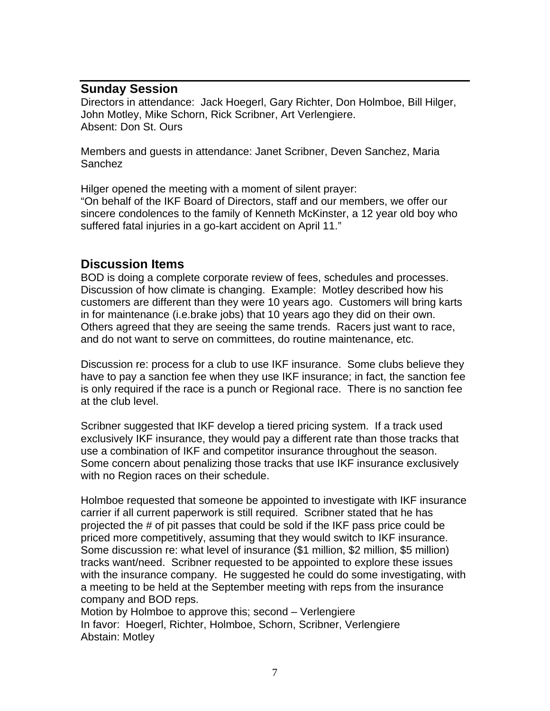# **Sunday Session**

Directors in attendance: Jack Hoegerl, Gary Richter, Don Holmboe, Bill Hilger, John Motley, Mike Schorn, Rick Scribner, Art Verlengiere. Absent: Don St. Ours

Members and guests in attendance: Janet Scribner, Deven Sanchez, Maria Sanchez

Hilger opened the meeting with a moment of silent prayer: "On behalf of the IKF Board of Directors, staff and our members, we offer our sincere condolences to the family of Kenneth McKinster, a 12 year old boy who suffered fatal injuries in a go-kart accident on April 11."

# **Discussion Items**

BOD is doing a complete corporate review of fees, schedules and processes. Discussion of how climate is changing. Example: Motley described how his customers are different than they were 10 years ago. Customers will bring karts in for maintenance (i.e.brake jobs) that 10 years ago they did on their own. Others agreed that they are seeing the same trends. Racers just want to race, and do not want to serve on committees, do routine maintenance, etc.

Discussion re: process for a club to use IKF insurance. Some clubs believe they have to pay a sanction fee when they use IKF insurance; in fact, the sanction fee is only required if the race is a punch or Regional race. There is no sanction fee at the club level.

Scribner suggested that IKF develop a tiered pricing system. If a track used exclusively IKF insurance, they would pay a different rate than those tracks that use a combination of IKF and competitor insurance throughout the season. Some concern about penalizing those tracks that use IKF insurance exclusively with no Region races on their schedule.

Holmboe requested that someone be appointed to investigate with IKF insurance carrier if all current paperwork is still required. Scribner stated that he has projected the # of pit passes that could be sold if the IKF pass price could be priced more competitively, assuming that they would switch to IKF insurance. Some discussion re: what level of insurance (\$1 million, \$2 million, \$5 million) tracks want/need. Scribner requested to be appointed to explore these issues with the insurance company. He suggested he could do some investigating, with a meeting to be held at the September meeting with reps from the insurance company and BOD reps.

Motion by Holmboe to approve this; second – Verlengiere In favor: Hoegerl, Richter, Holmboe, Schorn, Scribner, Verlengiere Abstain: Motley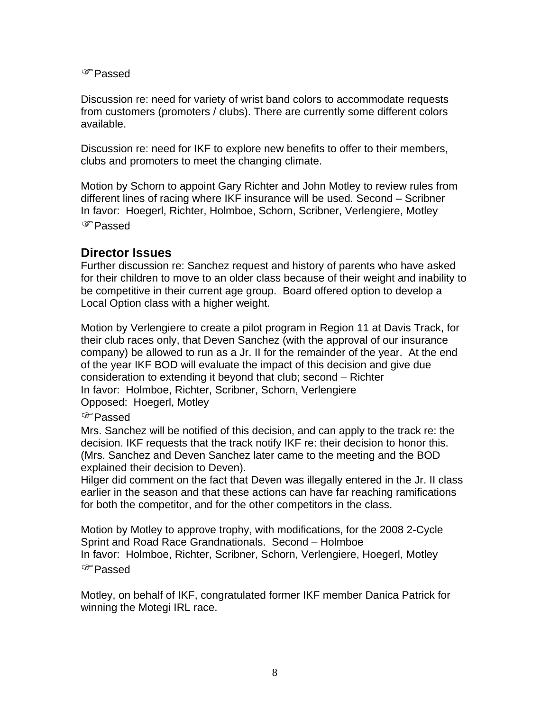)Passed

Discussion re: need for variety of wrist band colors to accommodate requests from customers (promoters / clubs). There are currently some different colors available.

Discussion re: need for IKF to explore new benefits to offer to their members, clubs and promoters to meet the changing climate.

Motion by Schorn to appoint Gary Richter and John Motley to review rules from different lines of racing where IKF insurance will be used. Second – Scribner In favor: Hoegerl, Richter, Holmboe, Schorn, Scribner, Verlengiere, Motley )Passed

## **Director Issues**

Further discussion re: Sanchez request and history of parents who have asked for their children to move to an older class because of their weight and inability to be competitive in their current age group. Board offered option to develop a Local Option class with a higher weight.

Motion by Verlengiere to create a pilot program in Region 11 at Davis Track, for their club races only, that Deven Sanchez (with the approval of our insurance company) be allowed to run as a Jr. II for the remainder of the year. At the end of the year IKF BOD will evaluate the impact of this decision and give due consideration to extending it beyond that club; second – Richter In favor: Holmboe, Richter, Scribner, Schorn, Verlengiere Opposed: Hoegerl, Motley

#### )Passed

Mrs. Sanchez will be notified of this decision, and can apply to the track re: the decision. IKF requests that the track notify IKF re: their decision to honor this. (Mrs. Sanchez and Deven Sanchez later came to the meeting and the BOD explained their decision to Deven).

Hilger did comment on the fact that Deven was illegally entered in the Jr. II class earlier in the season and that these actions can have far reaching ramifications for both the competitor, and for the other competitors in the class.

Motion by Motley to approve trophy, with modifications, for the 2008 2-Cycle Sprint and Road Race Grandnationals. Second – Holmboe In favor: Holmboe, Richter, Scribner, Schorn, Verlengiere, Hoegerl, Motley )Passed

Motley, on behalf of IKF, congratulated former IKF member Danica Patrick for winning the Motegi IRL race.